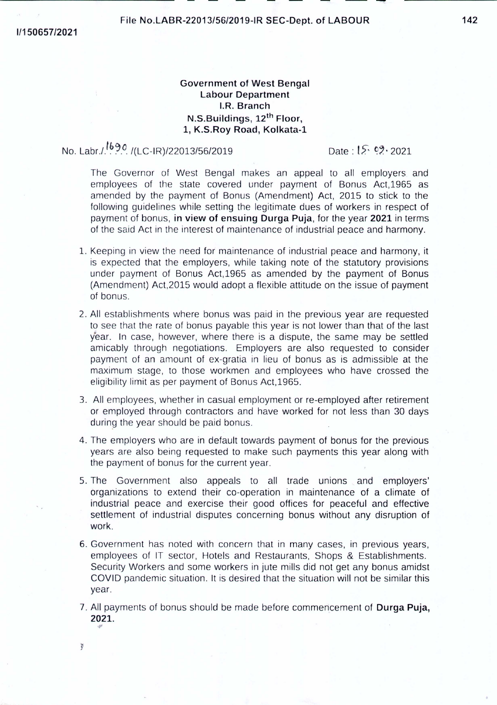## Government of West Bengal Labour Department I,R. Branch N.S.Buildings, 12th Floor, 1, K.S.Roy Road, Kolkata-1

No. Labr./ <sup>1690</sup>/(LC-IR)/22013/56/2019 . Date: 15 °, 2021

""'

y

The Governor of West Bengal makes an appeal to all employers and employees of the state covered under payment of Bonus Act,1965 as amended by the payment of Bonus (Amendment) Act, 2015 to stick to the following guidelines while setting the legitimate dues of workers in respect of payment of bonus, in view of ensuing Durga Puja, for the year 2021 in terms of the said Act in the interest of maintenance of industrial peace and harmony.

- l. Keeping in view the need for maintenance of industrial peace and harmony, it is expected that the employers, while taking note of the statutory provisions under payment of Bonus Act,1965 as amended by the payment of Bonus (Amendment) Act,2015 would adopt a flexible attitude on the issue of payment of bonus.
- 2. All establishments where bonus was paid in the previous year are requested to see that the rate of bonus payable this year is not lower than that of the last year. In case, however, where there is a dispute, the same may be settled amicably through negotiations. Employers are also requested to consider payment of an amount of ex-gratia in lieu of bonus as is admissible at the maximum stage, to those workmen and employees who have crossed the eligibility limit as per payment of Bonus Act,1965.
- 3. All employees, whether in casual employment or re-employed after retirement or employed through contractors and have worked for not less than 30 days during the year should be paid bonus.
- 4. The employers who are in default towards payment of bonus for the previous years are also being requested to make such payments this year along with the payment of bonus for the current year.
- 5. The Government also appeals to all trade unions, and employers' organizations to extend their co-operation in maintenance of a climate of industrial peace and exercise their good offices for peaceful and effective settlement of industrial disputes concerning bonus without any disruption of work.
- 6. Government has noted with concern that in many cases, in previous years, employees of IT sector, Hotels and Restaurants, Shops & Establishments. Security Workers and some workers in jute mills did not get any bonus amidst COVID pandemic situation. It is desired that the situation will not be similar this year.
- 7. All payments of bonus should be made before commencement of Durga Puja, 2021.